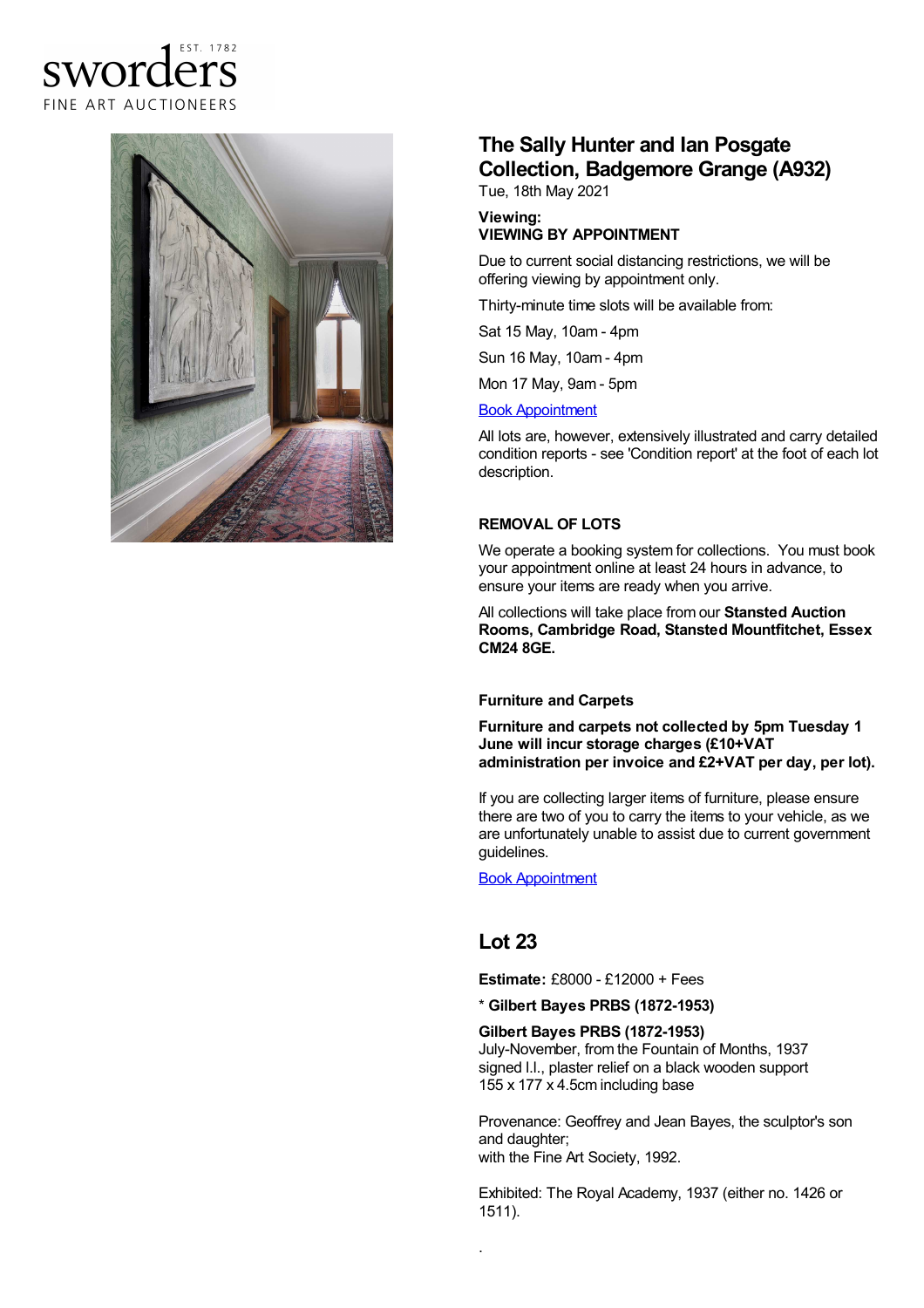### FST 1782 **SWOTC**  $\epsilon$ FINE ART AUCTIONEERS



# **The Sally Hunter and Ian Posgate Collection, Badgemore Grange (A932)**

Tue, 18th May 2021

#### **Viewing: VIEWING BY APPOINTMENT**

Due to current social distancing restrictions, we will be offering viewing by appointment only.

Thirty-minute time slots will be available from:

Sat 15 May, 10am - 4pm

Sun 16 May, 10am - 4pm

Mon 17 May, 9am - 5pm

#### Book [Appointment](https://www.sworder.co.uk/appointments/)

All lots are, however, extensively illustrated and carry detailed condition reports - see 'Condition report' at the foot of each lot description.

#### **REMOVAL OF LOTS**

We operate a booking system for collections. You must book your appointment online at least 24 hours in advance, to ensure your items are ready when you arrive.

All collections will take place from our **Stansted Auction Rooms, Cambridge Road, Stansted Mountfitchet, Essex CM24 8GE.**

#### **Furniture and Carpets**

**Furniture and carpets not collected by 5pm Tuesday 1 June will incur storage charges (£10+VAT administration per invoice and £2+VAT per day, per lot).**

If you are collecting larger items of furniture, please ensure there are two of you to carry the items to your vehicle, as we are unfortunately unable to assist due to current government guidelines.

Book [Appointment](https://www.sworder.co.uk/appointments/)

## **Lot 23**

.

**Estimate:** £8000 - £12000 + Fees

\* **Gilbert Bayes PRBS (1872-1953)**

#### **Gilbert Bayes PRBS (1872-1953)**

July-November, from the Fountain of Months, 1937 signed l.l., plaster relief on a black wooden support 155 x 177 x 4.5cm including base

Provenance: Geoffrey and Jean Bayes, the sculptor's son and daughter; with the Fine Art Society, 1992.

Exhibited: The Royal Academy, 1937 (either no. 1426 or 1511).